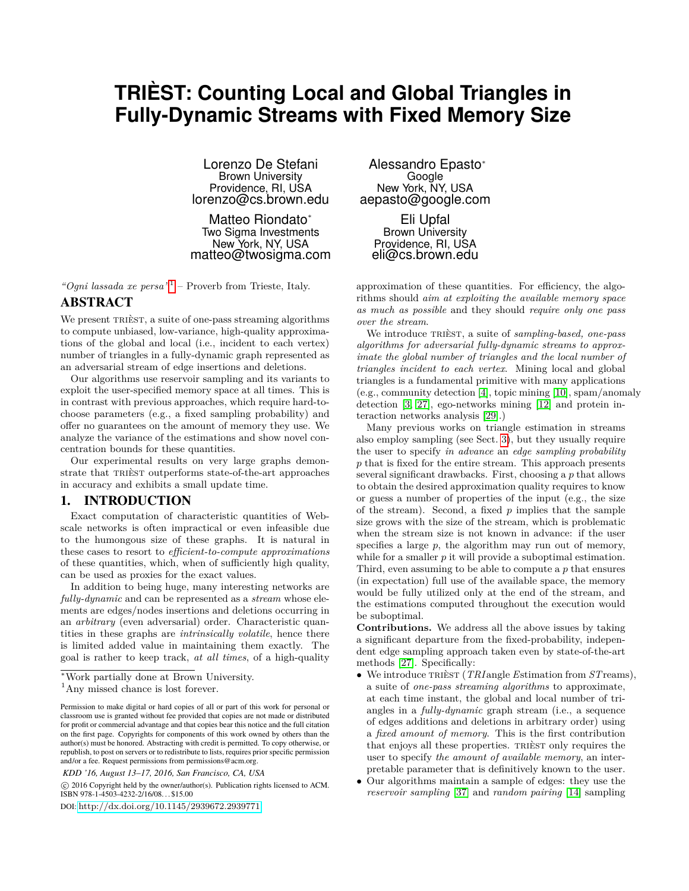# **TRIÈST: Counting Local and Global Triangles in Fully-Dynamic Streams with Fixed Memory Size**

Lorenzo De Stefani Brown University Providence, RI, USA lorenzo@cs.brown.edu

Matteo Riondato\* Two Sigma Investments New York, NY, USA matteo@twosigma.com

*"Ogni lassada xe persa"*[1](#page-0-0) – Proverb from Trieste, Italy.

## ABSTRACT

We present TRIÈST, a suite of one-pass streaming algorithms to compute unbiased, low-variance, high-quality approximations of the global and local (i.e., incident to each vertex) number of triangles in a fully-dynamic graph represented as an adversarial stream of edge insertions and deletions.

Our algorithms use reservoir sampling and its variants to exploit the user-specified memory space at all times. This is in contrast with previous approaches, which require hard-tochoose parameters (e.g., a fixed sampling probability) and offer no guarantees on the amount of memory they use. We analyze the variance of the estimations and show novel concentration bounds for these quantities.

Our experimental results on very large graphs demonstrate that TRIÈST outperforms state-of-the-art approaches in accuracy and exhibits a small update time.

## <span id="page-0-1"></span>1. INTRODUCTION

Exact computation of characteristic quantities of Webscale networks is often impractical or even infeasible due to the humongous size of these graphs. It is natural in these cases to resort to *efficient-to-compute approximations* of these quantities, which, when of sufficiently high quality, can be used as proxies for the exact values.

In addition to being huge, many interesting networks are *fully-dynamic* and can be represented as a *stream* whose elements are edges/nodes insertions and deletions occurring in an *arbitrary* (even adversarial) order. Characteristic quantities in these graphs are *intrinsically volatile*, hence there is limited added value in maintaining them exactly. The goal is rather to keep track, *at all times*, of a high-quality

*KDD '16, August 13–17, 2016, San Francisco, CA, USA*

 c 2016 Copyright held by the owner/author(s). Publication rights licensed to ACM. ISBN 978-1-4503-4232-2/16/08. . . \$15.00

DOI: <http://dx.doi.org/10.1145/2939672.2939771>

Alessandro Epasto<sup>∗</sup> Google New York, NY, USA aepasto@google.com

Eli Upfal Brown University Providence, RI, USA eli@cs.brown.edu

approximation of these quantities. For efficiency, the algorithms should *aim at exploiting the available memory space as much as possible* and they should *require only one pass over the stream*.

We introduce trièst, a suite of *sampling-based, one-pass algorithms for adversarial fully-dynamic streams to approximate the global number of triangles and the local number of triangles incident to each vertex*. Mining local and global triangles is a fundamental primitive with many applications (e.g., community detection [\[4\]](#page-9-0), topic mining [\[10\]](#page-9-1), spam/anomaly detection [\[3,](#page-9-2) [27\]](#page-9-3), ego-networks mining [\[12\]](#page-9-4) and protein interaction networks analysis [\[29\]](#page-9-5).)

Many previous works on triangle estimation in streams also employ sampling (see Sect. [3\)](#page-1-0), but they usually require the user to specify *in advance* an *edge sampling probability p* that is fixed for the entire stream. This approach presents several significant drawbacks. First, choosing a *p* that allows to obtain the desired approximation quality requires to know or guess a number of properties of the input (e.g., the size of the stream). Second, a fixed *p* implies that the sample size grows with the size of the stream, which is problematic when the stream size is not known in advance: if the user specifies a large *p*, the algorithm may run out of memory, while for a smaller *p* it will provide a suboptimal estimation. Third, even assuming to be able to compute a *p* that ensures (in expectation) full use of the available space, the memory would be fully utilized only at the end of the stream, and the estimations computed throughout the execution would be suboptimal.

**Contributions.** We address all the above issues by taking a significant departure from the fixed-probability, independent edge sampling approach taken even by state-of-the-art methods [\[27\]](#page-9-3). Specifically:

- We introduce trièst (*TRI* angle *E*stimation from *ST*reams), a suite of *one-pass streaming algorithms* to approximate, at each time instant, the global and local number of triangles in a *fully-dynamic* graph stream (i.e., a sequence of edges additions and deletions in arbitrary order) using a *fixed amount of memory*. This is the first contribution that enjoys all these properties. TRIEST only requires the user to specify *the amount of available memory*, an interpretable parameter that is definitively known to the user.
- Our algorithms maintain a sample of edges: they use the *reservoir sampling* [\[37\]](#page-9-6) and *random pairing* [\[14\]](#page-9-7) sampling

<sup>∗</sup>Work partially done at Brown University.

<span id="page-0-0"></span><sup>&</sup>lt;sup>1</sup>Any missed chance is lost forever.

Permission to make digital or hard copies of all or part of this work for personal or classroom use is granted without fee provided that copies are not made or distributed for profit or commercial advantage and that copies bear this notice and the full citation on the first page. Copyrights for components of this work owned by others than the author(s) must be honored. Abstracting with credit is permitted. To copy otherwise, or republish, to post on servers or to redistribute to lists, requires prior specific permission and/or a fee. Request permissions from permissions@acm.org.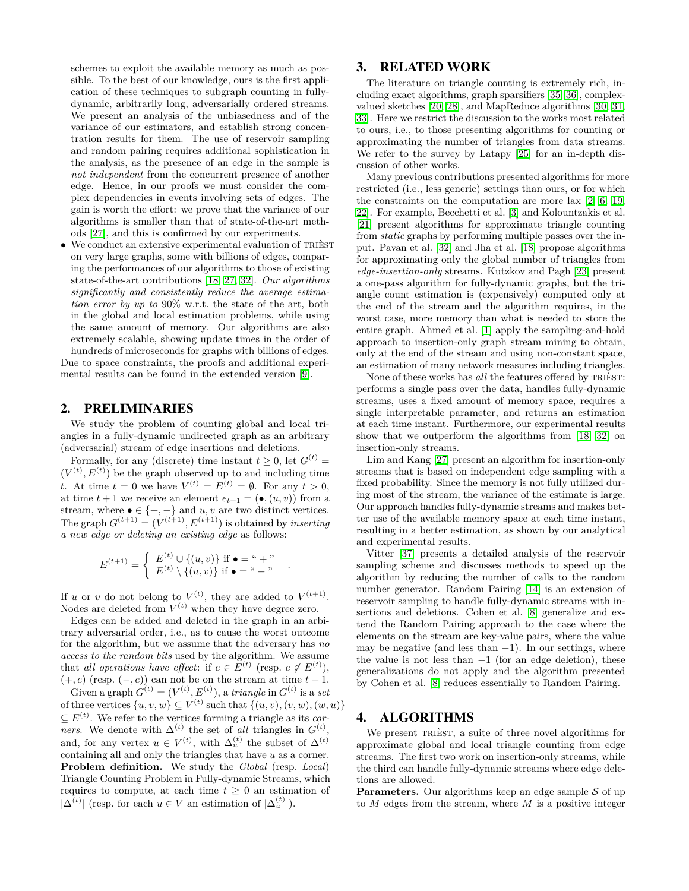schemes to exploit the available memory as much as possible. To the best of our knowledge, ours is the first application of these techniques to subgraph counting in fullydynamic, arbitrarily long, adversarially ordered streams. We present an analysis of the unbiasedness and of the variance of our estimators, and establish strong concentration results for them. The use of reservoir sampling and random pairing requires additional sophistication in the analysis, as the presence of an edge in the sample is *not independent* from the concurrent presence of another edge. Hence, in our proofs we must consider the complex dependencies in events involving sets of edges. The gain is worth the effort: we prove that the variance of our algorithms is smaller than that of state-of-the-art methods [\[27\]](#page-9-3), and this is confirmed by our experiments.

• We conduct an extensive experimental evaluation of trièst on very large graphs, some with billions of edges, comparing the performances of our algorithms to those of existing state-of-the-art contributions [\[18,](#page-9-8) [27,](#page-9-3) [32\]](#page-9-9). *Our algorithms significantly and consistently reduce the average estimation error by up to* 90% w.r.t. the state of the art, both in the global and local estimation problems, while using the same amount of memory. Our algorithms are also extremely scalable, showing update times in the order of hundreds of microseconds for graphs with billions of edges. Due to space constraints, the proofs and additional experi-

mental results can be found in the extended version [\[9\]](#page-9-10).

## 2. PRELIMINARIES

We study the problem of counting global and local triangles in a fully-dynamic undirected graph as an arbitrary (adversarial) stream of edge insertions and deletions.

Formally, for any (discrete) time instant  $t \geq 0$ , let  $G^{(t)} =$  $(V<sup>(t)</sup>, E<sup>(t)</sup>)$  be the graph observed up to and including time *t*. At time  $t = 0$  we have  $V^{(t)} = E^{(t)} = \emptyset$ . For any  $t > 0$ , at time  $t + 1$  we receive an element  $e_{t+1} = (\bullet, (u, v))$  from a stream, where  $\bullet \in \{+, -\}$  and *u, v* are two distinct vertices. The graph  $G^{(t+1)} = (V^{(t+1)}, E^{(t+1)})$  is obtained by *inserting a new edge or deleting an existing edge* as follows:

$$
E^{(t+1)} = \begin{cases} E^{(t)} \cup \{(u, v)\} & \text{if } \bullet = " + " \\ E^{(t)} \setminus \{(u, v)\} & \text{if } \bullet = " - " \end{cases}
$$

*.*

If *u* or *v* do not belong to  $V^{(t)}$ , they are added to  $V^{(t+1)}$ . Nodes are deleted from  $V^{(t)}$  when they have degree zero.

Edges can be added and deleted in the graph in an arbitrary adversarial order, i.e., as to cause the worst outcome for the algorithm, but we assume that the adversary has *no access to the random bits* used by the algorithm. We assume that *all operations have effect*: if  $e \in E^{(t)}$  (resp.  $e \notin E^{(t)}$ ),  $(+, e)$  (resp.  $(-, e)$ ) can not be on the stream at time  $t + 1$ . Given a graph  $G^{(t)} = (V^{(t)}, E^{(t)})$ , a *triangle* in  $G^{(t)}$  is a *set* of three vertices  $\{u, v, w\} \subseteq V^{(t)}$  such that  $\{(u, v), (v, w), (w, u)\}\$  $\subseteq E^{(t)}$ . We refer to the vertices forming a triangle as its *corners*. We denote with  $\Delta^{(t)}$  the set of *all* triangles in  $G^{(t)}$ , and, for any vertex  $u \in V^{(t)}$ , with  $\Delta_u^{(t)}$  the subset of  $\Delta^{(t)}$ containing all and only the triangles that have *u* as a corner. **Problem definition.** We study the *Global* (resp. *Local*) Triangle Counting Problem in Fully-dynamic Streams, which requires to compute, at each time  $t \geq 0$  an estimation of |△<sup>(t)</sup>| (resp. for each  $u \in V$  an estimation of  $|\Delta_u^{(t)}|$ ).

#### <span id="page-1-0"></span>3. RELATED WORK

The literature on triangle counting is extremely rich, including exact algorithms, graph sparsifiers [\[35,](#page-9-11) [36\]](#page-9-12), complexvalued sketches [\[20,](#page-9-13) [28\]](#page-9-14), and MapReduce algorithms [\[30,](#page-9-15) [31,](#page-9-16) [33\]](#page-9-17). Here we restrict the discussion to the works most related to ours, i.e., to those presenting algorithms for counting or approximating the number of triangles from data streams. We refer to the survey by Latapy [\[25\]](#page-9-18) for an in-depth discussion of other works.

Many previous contributions presented algorithms for more restricted (i.e., less generic) settings than ours, or for which the constraints on the computation are more lax [\[2,](#page-9-19) [6,](#page-9-20) [19,](#page-9-21) [22\]](#page-9-22). For example, Becchetti et al. [\[3\]](#page-9-2) and Kolountzakis et al. [\[21\]](#page-9-23) present algorithms for approximate triangle counting from *static* graphs by performing multiple passes over the input. Pavan et al. [\[32\]](#page-9-9) and Jha et al. [\[18\]](#page-9-8) propose algorithms for approximating only the global number of triangles from *edge-insertion-only* streams. Kutzkov and Pagh [\[23\]](#page-9-24) present a one-pass algorithm for fully-dynamic graphs, but the triangle count estimation is (expensively) computed only at the end of the stream and the algorithm requires, in the worst case, more memory than what is needed to store the entire graph. Ahmed et al. [\[1\]](#page-9-25) apply the sampling-and-hold approach to insertion-only graph stream mining to obtain, only at the end of the stream and using non-constant space, an estimation of many network measures including triangles.

None of these works has *all* the features offered by TRIEST: performs a single pass over the data, handles fully-dynamic streams, uses a fixed amount of memory space, requires a single interpretable parameter, and returns an estimation at each time instant. Furthermore, our experimental results show that we outperform the algorithms from [\[18,](#page-9-8) [32\]](#page-9-9) on insertion-only streams.

Lim and Kang [\[27\]](#page-9-3) present an algorithm for insertion-only streams that is based on independent edge sampling with a fixed probability. Since the memory is not fully utilized during most of the stream, the variance of the estimate is large. Our approach handles fully-dynamic streams and makes better use of the available memory space at each time instant, resulting in a better estimation, as shown by our analytical and experimental results.

Vitter [\[37\]](#page-9-6) presents a detailed analysis of the reservoir sampling scheme and discusses methods to speed up the algorithm by reducing the number of calls to the random number generator. Random Pairing [\[14\]](#page-9-7) is an extension of reservoir sampling to handle fully-dynamic streams with insertions and deletions. Cohen et al. [\[8\]](#page-9-26) generalize and extend the Random Pairing approach to the case where the elements on the stream are key-value pairs, where the value may be negative (and less than  $-1$ ). In our settings, where the value is not less than  $-1$  (for an edge deletion), these generalizations do not apply and the algorithm presented by Cohen et al. [\[8\]](#page-9-26) reduces essentially to Random Pairing.

## 4. ALGORITHMS

We present TRIEST, a suite of three novel algorithms for approximate global and local triangle counting from edge streams. The first two work on insertion-only streams, while the third can handle fully-dynamic streams where edge deletions are allowed.

**Parameters.** Our algorithms keep an edge sample  $S$  of up to *M* edges from the stream, where *M* is a positive integer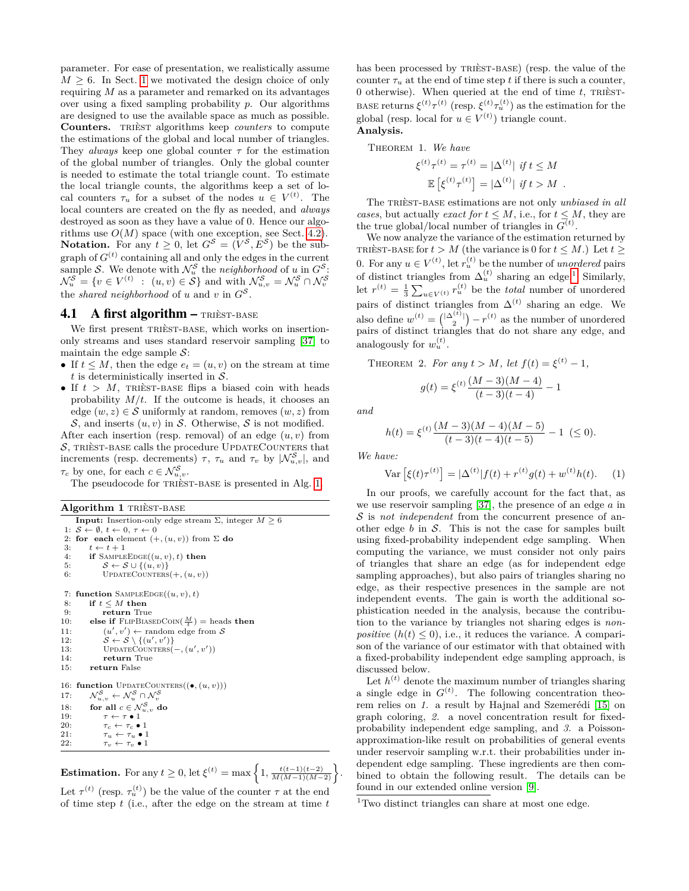parameter. For ease of presentation, we realistically assume  $M \geq 6$ . In Sect. [1](#page-0-1) we motivated the design choice of only requiring *M* as a parameter and remarked on its advantages over using a fixed sampling probability *p*. Our algorithms are designed to use the available space as much as possible. **Counters.** trièst algorithms keep *counters* to compute the estimations of the global and local number of triangles. They *always* keep one global counter  $\tau$  for the estimation of the global number of triangles. Only the global counter is needed to estimate the total triangle count. To estimate the local triangle counts, the algorithms keep a set of local counters  $\tau_u$  for a subset of the nodes  $u \in V^{(t)}$ . The local counters are created on the fly as needed, and *always* destroyed as soon as they have a value of 0. Hence our algorithms use  $O(M)$  space (with one exception, see Sect. [4.2\)](#page-3-0). **Notation.** For any  $t \geq 0$ , let  $G^S = (V^S, E^S)$  be the subgraph of  $G^{(t)}$  containing all and only the edges in the current sample S. We denote with  $\mathcal{N}_u^S$  the *neighborhood* of *u* in  $G^S$ :  $\mathcal{N}_u^S = \{ v \in V^{(t)} : (u, v) \in S \}$  and with  $\mathcal{N}_{u,v}^S = \mathcal{N}_u^S \cap \mathcal{N}_v^S$ <br>the *shared neighborhood* of *u* and *v* in  $G^S$ .

#### 4.1 A first algorithm  $-$  TRIEST-BASE

We first present TRIÈST-BASE, which works on insertiononly streams and uses standard reservoir sampling [\[37\]](#page-9-6) to maintain the edge sample  $S$ :

- If  $t \leq M$ , then the edge  $e_t = (u, v)$  on the stream at time *t* is deterministically inserted in S.
- If  $t > M$ , TRIÈST-BASE flips a biased coin with heads probability  $M/t$ . If the outcome is heads, it chooses an edge  $(w, z) \in \mathcal{S}$  uniformly at random, removes  $(w, z)$  from S, and inserts  $(u, v)$  in S. Otherwise, S is not modified.

After each insertion (resp. removal) of an edge (*u, v*) from  $\mathcal{S},$  TRIÈST-BASE calls the procedure UPDATECOUNTERS that increments (resp. decrements)  $\tau$ ,  $\tau_u$  and  $\tau_v$  by  $|\mathcal{N}_{u,v}^{\mathcal{S}}|$ , and  $\tau_c$  by one, for each  $c \in \mathcal{N}_{u,v}^{\mathcal{S}}$ .

The pseudocode for TRIÈST-BASE is presented in Alg. [1.](#page-2-0)

<span id="page-2-0"></span>

|  |  | Algorithm 1 TRIÈST-BASE |
|--|--|-------------------------|
|--|--|-------------------------|

|     | <b>Input:</b> Insertion-only edge stream $\Sigma$ , integer $M \geq 6$                                        |
|-----|---------------------------------------------------------------------------------------------------------------|
|     | 1: $S \leftarrow \emptyset$ , $t \leftarrow 0$ , $\tau \leftarrow 0$                                          |
|     | 2: for each element $(+, (u, v))$ from $\Sigma$ do                                                            |
| 3:  | $t \leftarrow t + 1$                                                                                          |
| 4:  | if SAMPLEEDGE $((u, v), t)$ then                                                                              |
| 5:  | $S \leftarrow S \cup \{(u, v)\}\$                                                                             |
| 6:  | UPDATECOUNTERS $(+, (u, v))$                                                                                  |
|     |                                                                                                               |
| 7:  | function SAMPLEEDGE $((u, v), t)$                                                                             |
| 8:  | if $t \leq M$ then                                                                                            |
| 9:  | return True                                                                                                   |
| 10: | else if FLIPBIASEDCOIN( $\frac{M}{t}$ ) = heads then                                                          |
| 11: | $(u', v') \leftarrow \text{random edge from } S$                                                              |
| 12: | $S \leftarrow S \setminus \{(u', v')\}$                                                                       |
| 13: | UPDATECOUNTERS $(-, (u', v'))$                                                                                |
| 14: | return True                                                                                                   |
| 15: | return False                                                                                                  |
|     |                                                                                                               |
| 16: | <b>function</b> UPDATECOUNTERS $((\bullet, (u, v)))$                                                          |
| 17: | $\mathcal{N}_{u,v}^{\mathcal{S}} \leftarrow \mathcal{N}_{u}^{\mathcal{S}} \cap \mathcal{N}_{v}^{\mathcal{S}}$ |
| 18: | for all $c \in \mathcal{N}_{u,v}^{\mathcal{S}}$ do                                                            |
| 19: | $\tau \leftarrow \tau \bullet 1$                                                                              |
| 20: | $\tau_c \leftarrow \tau_c \bullet 1$                                                                          |
| 21: | $\tau_u \leftarrow \tau_u \bullet 1$                                                                          |
| 22: | $\tau_v \leftarrow \tau_v \bullet 1$                                                                          |
|     |                                                                                                               |

**Estimation.** For any  $t \geq 0$ , let  $\xi^{(t)} = \max\left\{1, \frac{t(t-1)(t-2)}{M(M-1)(M-2)}\right\}$ .

Let  $\tau^{(t)}$  (resp.  $\tau_u^{(t)}$ ) be the value of the counter  $\tau$  at the end of time step *t* (i.e., after the edge on the stream at time *t* has been processed by TRIEST-BASE) (resp. the value of the counter  $\tau_u$  at the end of time step *t* if there is such a counter, 0 otherwise). When queried at the end of time *t*, trièst-BASE returns  $\xi^{(t)} \tau^{(t)}$  (resp.  $\xi^{(t)} \tau_u^{(t)}$ ) as the estimation for the global (resp. local for  $u \in V^{(t)}$ ) triangle count. **Analysis.**

Theorem 1. *We have*

<span id="page-2-2"></span>
$$
\xi^{(t)}\tau^{(t)} = \tau^{(t)} = |\Delta^{(t)}| \text{ if } t \leq M
$$

$$
\mathbb{E} \left[ \xi^{(t)}\tau^{(t)} \right] = |\Delta^{(t)}| \text{ if } t > M.
$$

The trièst-base estimations are not only *unbiased in all cases*, but actually *exact for*  $t \leq M$ , i.e., for  $t \leq M$ , they are the true global/local number of triangles in  $G^{(t)}$ .

We now analyze the variance of the estimation returned by TRIÈST-BASE for  $t > M$  (the variance is 0 for  $t \leq M$ .) Let  $t >$ 0. For any  $u \in V^{(t)}$ , let  $r_u^{(t)}$  be the number of *unordered* pairs of distinct triangles from  $\Delta_u^{(t)}$  sharing an edge.<sup>[1](#page-2-1)</sup> Similarly, let  $r^{(t)} = \frac{1}{3} \sum_{u \in V^{(t)}} r_u^{(t)}$  be the *total* number of unordered pairs of distinct triangles from  $\Delta^{(t)}$  sharing an edge. We also define  $w^{(t)} = \binom{|\Delta^{(t)}|}{2} - r^{(t)}$  as the number of unordered pairs of distinct triangles that do not share any edge, and analogously for  $w_u^{(t)}$ .

<span id="page-2-3"></span>THEOREM 2. *For any*  $t > M$ *, let*  $f(t) = \xi^{(t)} - 1$ *,* 

$$
g(t) = \xi^{(t)} \frac{(M-3)(M-4)}{(t-3)(t-4)} - 1
$$

*and*

$$
h(t) = \xi^{(t)} \frac{(M-3)(M-4)(M-5)}{(t-3)(t-4)(t-5)} - 1 \leq 0.
$$

*We have:*

<span id="page-2-5"></span>
$$
\text{Var}\left[\xi(t)\tau^{(t)}\right] = |\Delta^{(t)}|f(t) + r^{(t)}g(t) + w^{(t)}h(t). \tag{1}
$$

In our proofs, we carefully account for the fact that, as we use reservoir sampling [\[37\]](#page-9-6), the presence of an edge *a* in S is *not independent* from the concurrent presence of another edge  $b$  in  $\mathcal{S}$ . This is not the case for samples built using fixed-probability independent edge sampling. When computing the variance, we must consider not only pairs of triangles that share an edge (as for independent edge sampling approaches), but also pairs of triangles sharing no edge, as their respective presences in the sample are not independent events. The gain is worth the additional sophistication needed in the analysis, because the contribution to the variance by triangles not sharing edges is *nonpositive*  $(h(t) \leq 0)$ , i.e., it reduces the variance. A comparison of the variance of our estimator with that obtained with a fixed-probability independent edge sampling approach, is discussed below.

Let  $h^{(t)}$  denote the maximum number of triangles sharing a single edge in  $G<sup>(t)</sup>$ . The following concentration theorem relies on *1.* a result by Hajnal and Szemerédi [\[15\]](#page-9-27) on graph coloring, *2.* a novel concentration result for fixedprobability independent edge sampling, and *3.* a Poissonapproximation-like result on probabilities of general events under reservoir sampling w.r.t. their probabilities under independent edge sampling. These ingredients are then combined to obtain the following result. The details can be found in our extended online version [\[9\]](#page-9-10).

<span id="page-2-4"></span><span id="page-2-1"></span><sup>1</sup>Two distinct triangles can share at most one edge.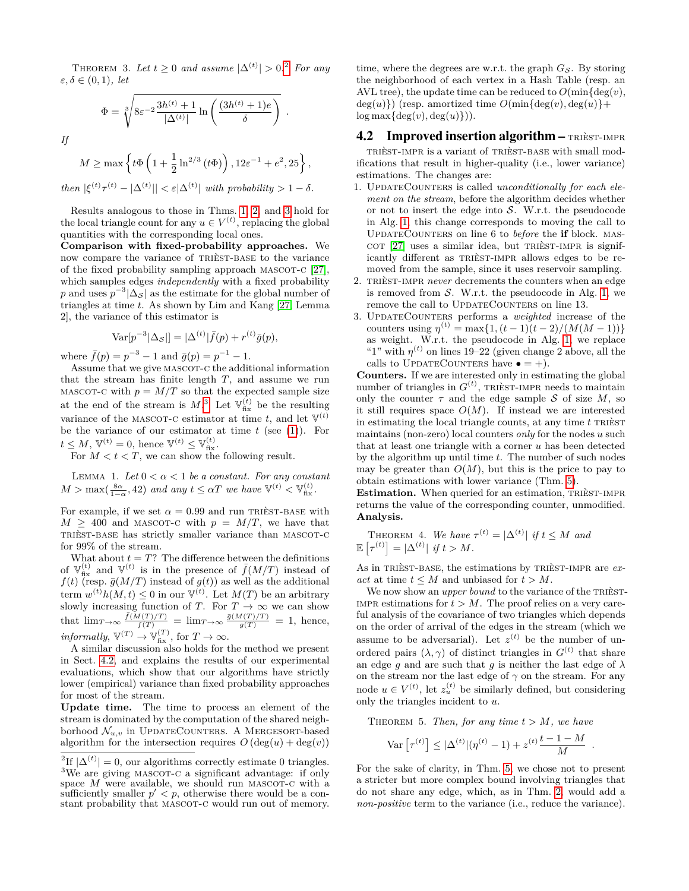THEOREM 3. Let  $t \geq 0$  and assume  $|\Delta^{(t)}| > 0$ .<sup>[2](#page-3-1)</sup> For any *ε, δ* ∈ (0*,* 1)*, let*

$$
\Phi = \sqrt[3]{8\varepsilon^{-2} \frac{3h^{(t)} + 1}{|\Delta^{(t)}|} \ln \left( \frac{(3h^{(t)} + 1)e}{\delta} \right)}
$$

*.*

*If*

$$
M \ge \max \left\{ t\Phi \left( 1 + \frac{1}{2} \ln^{2/3} (t\Phi) \right), 12\varepsilon^{-1} + e^2, 25 \right\},\
$$
  
then  $|\xi^{(t)} \tau^{(t)} - |\Delta^{(t)}| | < \varepsilon |\Delta^{(t)}|$  with probability  $1 - \delta$ .

Results analogous to those in Thms. [1,](#page-2-2) [2,](#page-2-3) and [3](#page-2-4) hold for the local triangle count for any  $u \in V^{(t)}$ , replacing the global quantities with the corresponding local ones.

**Comparison with fixed-probability approaches.** We now compare the variance of trièst-base to the variance of the fixed probability sampling approach MASCOT-C  $[27]$ , which samples edges *independently* with a fixed probability *p* and uses  $p^{-3}|\Delta_{\mathcal{S}}|$  as the estimate for the global number of triangles at time *t*. As shown by Lim and Kang [\[27,](#page-9-3) Lemma 2], the variance of this estimator is

$$
Var[p^{-3}|\Delta_{\mathcal{S}}|] = |\Delta^{(t)}|\bar{f}(p) + r^{(t)}\bar{g}(p),
$$

where  $\bar{f}(p) = p^{-3} - 1$  and  $\bar{g}(p) = p^{-1} - 1$ .

Assume that we give MASCOT-C the additional information that the stream has finite length *T*, and assume we run MASCOT-C with  $p = M/T$  so that the expected sample size at the end of the stream is  $M$ <sup>[3](#page-3-2)</sup>. Let  $\mathbb{V}_{\text{fix}}^{(t)}$  be the resulting variance of the MASCOT-C estimator at time  $t$ , and let  $\mathbb{V}^{(t)}$ be the variance of our estimator at time *t* (see [\(1\)](#page-2-5)). For  $t \le M$ ,  $\mathbb{V}^{(t)} = 0$ , hence  $\mathbb{V}^{(t)} \le \mathbb{V}_{\text{fix}}^{(t)}$ .

For  $M < t < T$ , we can show the following result.

LEMMA 1. Let  $0 < \alpha < 1$  be a constant. For any constant  $M > \max(\frac{8\alpha}{1-\alpha}, 42)$  *and any*  $t \leq \alpha T$  *we have*  $\mathbb{V}^{(t)} < \mathbb{V}_{\text{fix}}^{(t)}$ *.* 

For example, if we set  $\alpha = 0.99$  and run TRIEST-BASE with  $M \geq 400$  and MASCOT-C with  $p = M/T$ , we have that trièst-base has strictly smaller variance than mascot-c for 99% of the stream.

What about  $t = T$ ? The difference between the definitions of  $\mathbb{V}_{\text{fix}}^{(t)}$  and  $\mathbb{V}^{(t)}$  is in the presence of  $\bar{f}(M/T)$  instead of  $f(t)$  (resp.  $\bar{g}(M/T)$  instead of  $g(t)$ ) as well as the additional term  $w^{(t)}h(M,t) \leq 0$  in our  $\mathbb{V}^{(t)}$ . Let  $M(T)$  be an arbitrary slowly increasing function of *T*. For  $T \to \infty$  we can show that  $\lim_{T \to \infty} \frac{\bar{f}(M(T)/T)}{f(T)} = \lim_{T \to \infty} \frac{\bar{g}(M(T)/T)}{g(T)} = 1$ , hence,  $informally, \mathbb{V}^{(T)} \to \mathbb{V}_{\text{fix}}^{(T)}, \text{ for } T \to \infty.$ 

A similar discussion also holds for the method we present in Sect. [4.2,](#page-3-0) and explains the results of our experimental evaluations, which show that our algorithms have strictly lower (empirical) variance than fixed probability approaches for most of the stream.

**Update time.** The time to process an element of the stream is dominated by the computation of the shared neighborhood  $\mathcal{N}_{u,v}$  in UPDATECOUNTERS. A MERGESORT-based algorithm for the intersection requires  $O(\deg(u) + \deg(v))$ 

time, where the degrees are w.r.t. the graph  $G_{\mathcal{S}}$ . By storing the neighborhood of each vertex in a Hash Table (resp. an AVL tree), the update time can be reduced to  $O(\min\{\deg(v),\}$  $deg(u)$ ) (resp. amortized time  $O(\min\{deg(v), deg(u)\})$  $\log \max \{ \deg(v), \deg(u) \}).$ 

## <span id="page-3-0"></span>4.2 Improved insertion algorithm  $-$  TRIEST-IMPR

trièst-impr is a variant of trièst-base with small modifications that result in higher-quality (i.e., lower variance) estimations. The changes are:

- 1. UpdateCounters is called *unconditionally for each element on the stream*, before the algorithm decides whether or not to insert the edge into  $S$ . W.r.t. the pseudocode in Alg. [1,](#page-2-0) this change corresponds to moving the call to UpdateCounters on line 6 to *before* the **if** block. mas- $COT$  [\[27\]](#page-9-3) uses a similar idea, but TRIEST-IMPR is significantly different as trièst-impr allows edges to be removed from the sample, since it uses reservoir sampling.
- 2. TRIÈST-IMPR *never* decrements the counters when an edge is removed from  $S$ . W.r.t. the pseudocode in Alg. [1,](#page-2-0) we remove the call to UPDATECOUNTERS on line 13.
- 3. UpdateCounters performs a *weighted* increase of the counters using  $\eta^{(t)} = \max\{1, (t-1)(t-2)/(M(M-1))\}$ as weight. W.r.t. the pseudocode in Alg. [1,](#page-2-0) we replace "1" with  $\eta^{(t)}$  on lines 19–22 (given change 2 above, all the calls to UPDATECOUNTERS have  $\bullet = +$ ).

**Counters.** If we are interested only in estimating the global number of triangles in  $G<sup>(t)</sup>$ , TRIÈST-IMPR needs to maintain only the counter  $\tau$  and the edge sample S of size M, so it still requires space  $O(M)$ . If instead we are interested in estimating the local triangle counts, at any time  $t$  TRIEST maintains (non-zero) local counters *only* for the nodes *u* such that at least one triangle with a corner *u* has been detected by the algorithm up until time *t*. The number of such nodes may be greater than  $O(M)$ , but this is the price to pay to obtain estimations with lower variance (Thm. [5\)](#page-3-3).

**Estimation.** When queried for an estimation, TRIÈST-IMPR returns the value of the corresponding counter, unmodified. **Analysis.**

<span id="page-3-4"></span>THEOREM 4. We have 
$$
\tau^{(t)} = |\Delta^{(t)}|
$$
 if  $t \leq M$  and  
\n
$$
\mathbb{E}\left[\tau^{(t)}\right] = |\Delta^{(t)}|
$$
 if  $t > M$ .

As in TRIÈST-BASE, the estimations by TRIÈST-IMPR are  $ex$ *act* at time  $t \leq M$  and unbiased for  $t > M$ .

We now show an *upper bound* to the variance of the TRIEST-IMPR estimations for  $t > M$ . The proof relies on a very careful analysis of the covariance of two triangles which depends on the order of arrival of the edges in the stream (which we assume to be adversarial). Let  $z^{(t)}$  be the number of unordered pairs  $(\lambda, \gamma)$  of distinct triangles in  $G^{(t)}$  that share an edge *q* and are such that *q* is neither the last edge of  $\lambda$ on the stream nor the last edge of  $\gamma$  on the stream. For any node  $u \in V^{(t)}$ , let  $z_u^{(t)}$  be similarly defined, but considering only the triangles incident to *u*.

<span id="page-3-3"></span>THEOREM 5. *Then, for any time*  $t > M$ *, we have* 

$$
\text{Var}\left[\tau^{(t)}\right] \leq |\Delta^{(t)}|(\eta^{(t)}-1) + z^{(t)}\frac{t-1-M}{M} \ .
$$

For the sake of clarity, in Thm. [5,](#page-3-3) we chose not to present a stricter but more complex bound involving triangles that do not share any edge, which, as in Thm. [2,](#page-2-3) would add a *non-positive* term to the variance (i.e., reduce the variance).

<span id="page-3-2"></span><span id="page-3-1"></span><sup>&</sup>lt;sup>2</sup>If  $|\Delta^{(t)}| = 0$ , our algorithms correctly estimate 0 triangles. <sup>3</sup>We are giving MASCOT-C a significant advantage: if only space  $M$  were available, we should run MASCOT-C with a sufficiently smaller  $p' < p$ , otherwise there would be a constant probability that MASCOT-C would run out of memory.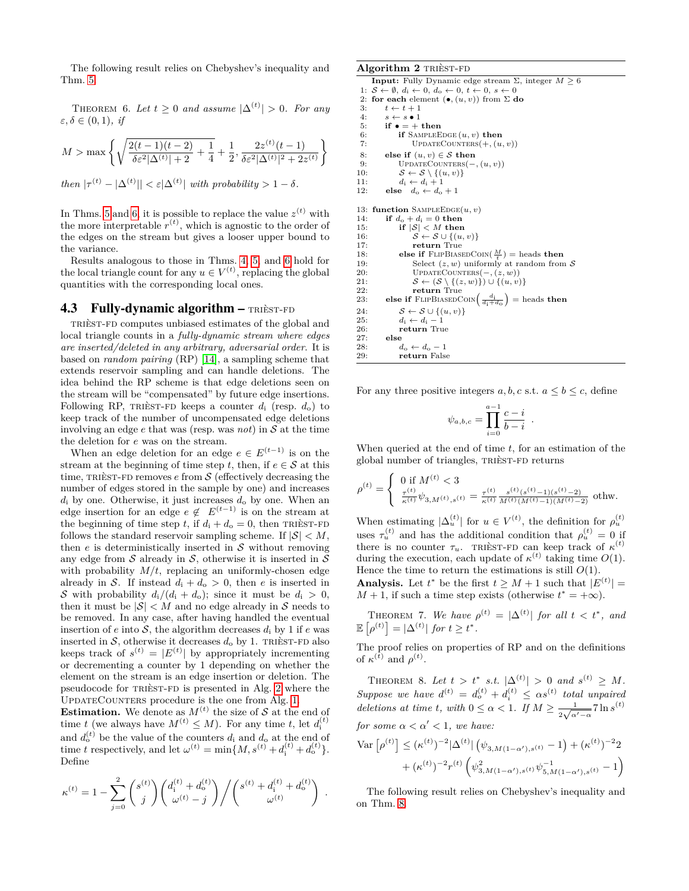<span id="page-4-0"></span>The following result relies on Chebyshev's inequality and Thm. [5.](#page-3-3)

THEOREM 6. Let  $t \geq 0$  and assume  $|\Delta^{(t)}| > 0$ . For any *ε, δ* ∈ (0*,* 1)*, if*

$$
M > \max \left\{ \sqrt{\frac{2(t-1)(t-2)}{\delta \varepsilon^2 |\Delta^{(t)}|+2} + \frac{1}{4}} + \frac{1}{2}, \frac{2z^{(t)}(t-1)}{\delta \varepsilon^2 |\Delta^{(t)}|^2 + 2z^{(t)}} \right\}
$$
  
*then*  $|\tau^{(t)} - |\Delta^{(t)}|| < \varepsilon |\Delta^{(t)}|$  *with probability*  $> 1 - \delta$ .

In Thms. [5](#page-3-3) and [6,](#page-4-0) it is possible to replace the value  $z^{(t)}$  with the more interpretable  $r^{(t)}$ , which is agnostic to the order of the edges on the stream but gives a looser upper bound to the variance.

Results analogous to those in Thms. [4,](#page-3-4) [5,](#page-3-3) and [6](#page-4-0) hold for the local triangle count for any  $u \in V^{(t)}$ , replacing the global quantities with the corresponding local ones.

#### 4.3 Fully-dynamic algorithm  $-$  TRIEST-FD

trièst-fd computes unbiased estimates of the global and local triangle counts in a *fully-dynamic stream where edges are inserted/deleted in any arbitrary, adversarial order*. It is based on *random pairing* (RP) [\[14\]](#page-9-7), a sampling scheme that extends reservoir sampling and can handle deletions. The idea behind the RP scheme is that edge deletions seen on the stream will be "compensated" by future edge insertions. Following RP, TRIÈST-FD keeps a counter  $d_i$  (resp.  $d_o$ ) to keep track of the number of uncompensated edge deletions involving an edge  $e$  that was (resp. was *not*) in  $S$  at the time the deletion for *e* was on the stream.

When an edge deletion for an edge  $e \in E^{(t-1)}$  is on the stream at the beginning of time step *t*, then, if  $e \in S$  at this time, TRIÈST-FD removes  $e$  from  $S$  (effectively decreasing the number of edges stored in the sample by one) and increases *d*<sup>i</sup> by one. Otherwise, it just increases *d*<sup>o</sup> by one. When an edge insertion for an edge  $e \notin E^{(t-1)}$  is on the stream at the beginning of time step *t*, if  $d_i + d_o = 0$ , then TRIÈST-FD follows the standard reservoir sampling scheme. If  $|S| < M$ , then  $e$  is deterministically inserted in  $S$  without removing any edge from  $\mathcal S$  already in  $\mathcal S,$  otherwise it is inserted in  $\mathcal S$ with probability  $M/t$ , replacing an uniformly-chosen edge already in S. If instead  $d_i + d_o > 0$ , then *e* is inserted in S with probability  $d_i/(d_i + d_o)$ ; since it must be  $d_i > 0$ , then it must be  $|\mathcal{S}| < M$  and no edge already in S needs to be removed. In any case, after having handled the eventual insertion of  $e$  into  $S$ , the algorithm decreases  $d_i$  by 1 if  $e$  was inserted in S, otherwise it decreases  $d_0$  by 1. TRIEST-FD also keeps track of  $s^{(t)} = |E^{(t)}|$  by appropriately incrementing or decrementing a counter by 1 depending on whether the element on the stream is an edge insertion or deletion. The pseudocode for trièst-fd is presented in Alg. [2](#page-4-1) where the UpdateCounters procedure is the one from Alg. [1.](#page-2-0)

**Estimation.** We denote as  $M^{(t)}$  the size of S at the end of time *t* (we always have  $M^{(t)} \leq M$ ). For any time *t*, let  $d_i^{(t)}$ and  $d_0^{(t)}$  be the value of the counters  $d_i$  and  $d_o$  at the end of time *t* respectively, and let  $\omega^{(t)} = \min\{M, s^{(t)} + d^{(t)}_i + d^{(t)}_o\}.$ Define

$$
\kappa^{(t)} = 1 - \sum_{j=0}^{2} \binom{s^{(t)}}{j} \binom{d_i^{(t)} + d_o^{(t)}}{\omega^{(t)} - j} / \binom{s^{(t)} + d_i^{(t)} + d_o^{(t)}}{\omega^{(t)}}.
$$

#### <span id="page-4-1"></span>**Algorithm 2** trièst-fd

```
Input: Fully Dynamic edge stream \Sigma, integer M \geq 61: S \leftarrow \emptyset, d_i \leftarrow 0, d_o \leftarrow 0, t \leftarrow 0, s \leftarrow 02: for each element (\bullet, (u, v)) from \Sigma do
 3: t \leftarrow t + 14: s \leftarrow s \bullet 1<br>5: if \bullet = + then
 6: if SampleEdge (u, v) then
 7: UPDATECOUNTERS(+, (u, v))8: else if (u, v) \in S then<br>9: UPDATECOUNTERS(-9: UPDATECOUNTERS(-, (u, v))<br>10: S \leftarrow S \setminus \{(u, v)\}10: S \leftarrow S \setminus \{(u, v)\}<br>11: d_i \leftarrow d_i + 112: else d_0 \leftarrow d_0 + 113: function SAMPLEEDGE(u, v)
14: if d_o + d_i = 0 then<br>15: if |S| < M then
               if |S| < M then
16: S \leftarrow S \cup \{(u, v)\}<br>17: return True
17: return True<br>18: else if FLIPBIAS!
18: else if \text{FLIPBIASEDCON}(\frac{M}{t}) = \text{heads} then
19: Select (z, w) uniformly at random from S<br>20: UPDATECOUNTERS(-, (z, w))20: UpdateCounters(−, (z, w))
21: S \leftarrow (S \setminus \{(z, w)\}) \cup \{(u, v)\}<br>22: return True
22: return True<br>23: else if FLIPBIASEDC
23: else if FLIPBIASEDCOIN\left(\frac{d_i}{d_i+d_o}\right) = heads then
24: S \leftarrow S \cup \{(u, v)\}25: d_i \leftarrow d_i - 1<br>26: return Tru
26: return True<br>27: else
27: else
28: d_o \leftarrow d_o - 1<br>29: return False
                return False
```
For any three positive integers  $a, b, c$  s.t.  $a \leq b \leq c$ , define

<span id="page-4-3"></span>
$$
\psi_{a,b,c} = \prod_{i=0}^{a-1} \frac{c-i}{b-i} .
$$

When queried at the end of time *t*, for an estimation of the global number of triangles, TRIÈST-FD returns

$$
\rho^{(t)} = \begin{cases} 0 \text{ if } M^{(t)} < 3 \\ \frac{\tau^{(t)}}{\kappa^{(t)}} \psi_{3,M^{(t)},s^{(t)}} = \frac{\tau^{(t)}}{\kappa^{(t)}} \frac{s^{(t)}(s^{(t)} - 1)(s^{(t)} - 2)}{M^{(t)}(M^{(t)} - 1)(M^{(t)} - 2)} \text{ otherwise.} \end{cases}
$$

When estimating  $|\Delta_u^{(t)}|$  for  $u \in V^{(t)}$ , the definition for  $\rho_u^{(t)}$ uses  $\tau_u^{(t)}$  and has the additional condition that  $\rho_u^{(t)} = 0$  if there is no counter  $\tau_u$ . TRIÈST-FD can keep track of  $\kappa^{(t)}$ during the execution, each update of  $\kappa^{(t)}$  taking time  $O(1)$ . Hence the time to return the estimations is still  $O(1)$ .

**Analysis.** Let  $t^*$  be the first  $t \geq M + 1$  such that  $|E^{(t)}|$  =  $M + 1$ , if such a time step exists (otherwise  $t^* = +\infty$ ).

THEOREM 7. We have  $\rho^{(t)} = |\Delta^{(t)}|$  for all  $t < t^*$ , and  $\mathbb{E} \left[ \rho^{(t)} \right] = |\Delta^{(t)}| \text{ for } t \geq t^*.$ 

The proof relies on properties of RP and on the definitions of  $\kappa^{(t)}$  and  $\rho^{(t)}$ .

<span id="page-4-2"></span>THEOREM 8. Let  $t > t^*$  s.t.  $|\Delta^{(t)}| > 0$  and  $s^{(t)} \geq M$ . *Suppose we have*  $d^{(t)} = d_o^{(t)} + d_i^{(t)} \leq \alpha s^{(t)}$  *total unpaired deletions at time t, with*  $0 \leq \alpha < 1$ *. If*  $M \geq \frac{1}{\sqrt{2}}$  $\frac{1}{2\sqrt{\alpha'-\alpha}}$ 7 ln  $s^{(t)}$ *for some*  $\alpha < \alpha' < 1$ *, we have:* 

$$
\operatorname{Var} \left[ \rho^{(t)} \right] \leq (\kappa^{(t)})^{-2} |\Delta^{(t)}| \left( \psi_{3,M(1-\alpha'),s^{(t)}} - 1 \right) + (\kappa^{(t)})^{-2} 2 + (\kappa^{(t)})^{-2} r^{(t)} \left( \psi_{3,M(1-\alpha'),s^{(t)}}^2 \psi_{5,M(1-\alpha'),s^{(t)}}^{-1} - 1 \right)
$$

<span id="page-4-4"></span>The following result relies on Chebyshev's inequality and on Thm. [8.](#page-4-2)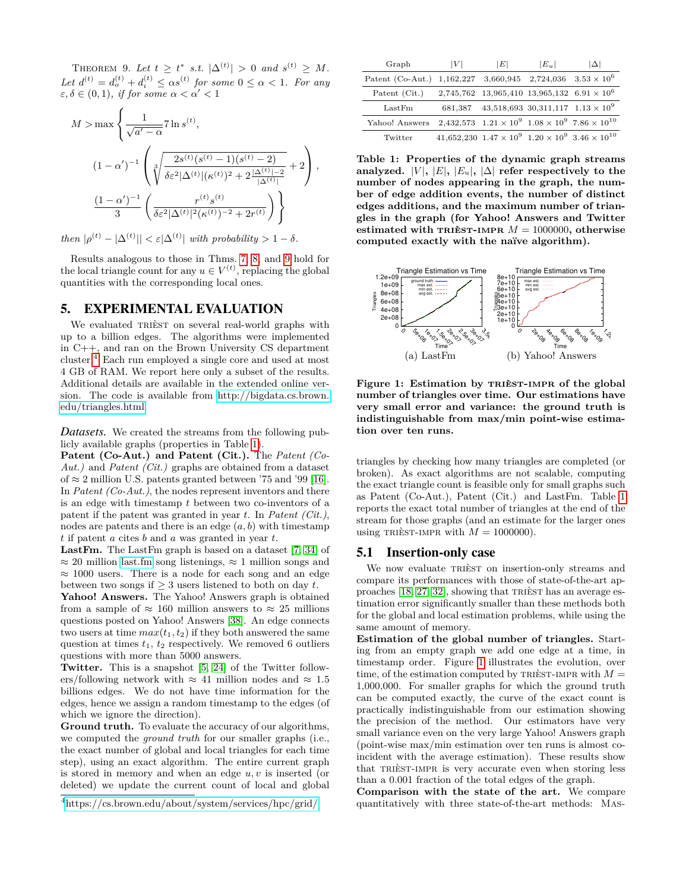THEOREM 9. Let  $t \geq t^*$  s.t.  $|\Delta^{(t)}| > 0$  and  $s^{(t)} \geq M$ . *Let*  $d^{(t)} = d_o^{(t)} + d_i^{(t)} \leq \alpha s^{(t)}$  for some  $0 \leq \alpha < 1$ *. For any*  $\varepsilon, \delta \in (0, 1)$ *, if for some*  $\alpha < \alpha' < 1$ 

$$
M > \max \left\{ \frac{1}{\sqrt{a' - \alpha}} 7 \ln s^{(t)}, \right\}
$$
  

$$
(1 - \alpha')^{-1} \left( \sqrt[3]{\frac{2s^{(t)}(s^{(t)} - 1)(s^{(t)} - 2)}{\delta \varepsilon^2 |\Delta^{(t)}| (\kappa^{(t)})^2 + 2 \frac{|\Delta^{(t)}| - 2}{|\Delta^{(t)}|}}} + 2 \right),
$$
  

$$
\frac{(1 - \alpha')^{-1}}{3} \left( \frac{r^{(t)} s^{(t)}}{\delta \varepsilon^2 |\Delta^{(t)}|^2 (\kappa^{(t)})^{-2} + 2r^{(t)}} \right) \right\}
$$

*then*  $|\rho^{(t)} - \Delta^{(t)}| < \varepsilon |\Delta^{(t)}|$  *with probability*  $> 1 - \delta$ *.* 

Results analogous to those in Thms. [7,](#page-4-3) [8,](#page-4-2) and [9](#page-4-4) hold for the local triangle count for any  $u \in V^{(t)}$ , replacing the global quantities with the corresponding local ones.

#### 5. EXPERIMENTAL EVALUATION

We evaluated TRIEST on several real-world graphs with up to a billion edges. The algorithms were implemented in C++, and ran on the Brown University CS department cluster.[4](#page-5-0) Each run employed a single core and used at most 4 GB of RAM. We report here only a subset of the results. Additional details are available in the extended online version. The code is available from [http://bigdata.cs.brown.](http://bigdata.cs.brown.edu/triangles.html) [edu/triangles.html.](http://bigdata.cs.brown.edu/triangles.html)

*Datasets.* We created the streams from the following publicly available graphs (properties in Table [1\)](#page-5-1).

**Patent (Co-Aut.) and Patent (Cit.).** The *Patent (Co-Aut.)* and *Patent (Cit.)* graphs are obtained from a dataset of  $\approx 2$  million U.S. patents granted between '75 and '99 [\[16\]](#page-9-28). In *Patent (Co-Aut.)*, the nodes represent inventors and there is an edge with timestamp *t* between two co-inventors of a patent if the patent was granted in year *t*. In *Patent (Cit.)*, nodes are patents and there is an edge  $(a, b)$  with timestamp *t* if patent *a* cites *b* and *a* was granted in year *t*.

**LastFm.** The LastFm graph is based on a dataset [\[7,](#page-9-29) [34\]](#page-9-30) of  $≈ 20$  million<last.fm> song listenings,  $≈ 1$  million songs and  $\approx 1000$  users. There is a node for each song and an edge between two songs if  $\geq 3$  users listened to both on day *t*.

**Yahoo! Answers.** The Yahoo! Answers graph is obtained from a sample of  $\approx 160$  million answers to  $\approx 25$  millions questions posted on Yahoo! Answers [\[38\]](#page-9-31). An edge connects two users at time  $max(t_1, t_2)$  if they both answered the same question at times *t*1, *t*<sup>2</sup> respectively. We removed 6 outliers questions with more than 5000 answers.

**Twitter.** This is a snapshot [\[5,](#page-9-32) [24\]](#page-9-33) of the Twitter followers/following network with  $\approx 41$  million nodes and  $\approx 1.5$ billions edges. We do not have time information for the edges, hence we assign a random timestamp to the edges (of which we ignore the direction).

**Ground truth.** To evaluate the accuracy of our algorithms, we computed the *ground truth* for our smaller graphs (i.e., the exact number of global and local triangles for each time step), using an exact algorithm. The entire current graph is stored in memory and when an edge *u, v* is inserted (or deleted) we update the current count of local and global

| Graph                      | V       | ΙEΙ                                                             | $ E_u $                                    | $ \Delta $                                                               |
|----------------------------|---------|-----------------------------------------------------------------|--------------------------------------------|--------------------------------------------------------------------------|
| Patent (Co-Aut.) 1,162,227 |         | 3,660,945                                                       |                                            | $2,724,036$ $3.53 \times 10^6$                                           |
| Patent (Cit.)              |         | $2,745,762$ 13,965,410 13,965,132 6.91 $\times$ 10 <sup>6</sup> |                                            |                                                                          |
| LastFm                     | 681,387 |                                                                 | $43,518,693$ 30,311,117 $1.13 \times 10^9$ |                                                                          |
| Yahoo! Answers             |         |                                                                 |                                            | 2,432,573 $1.21 \times 10^9$ $1.08 \times 10^9$ 7.86 $\times 10^{10}$    |
| Twitter                    |         |                                                                 |                                            | $41,652,230$ $1.47 \times 10^9$ $1.20 \times 10^9$ $3.46 \times 10^{10}$ |

<span id="page-5-1"></span>**Table 1: Properties of the dynamic graph streams** analyzed.  $|V|, |E|, |E_u|, |\Delta|$  refer respectively to the **number of nodes appearing in the graph, the number of edge addition events, the number of distinct edges additions, and the maximum number of triangles in the graph (for Yahoo! Answers and Twitter** estimated with TRIEST-IMPR  $M = 1000000$ , otherwise **computed exactly with the naïve algorithm).**



<span id="page-5-2"></span>**Figure 1: Estimation by** trièst-impr **of the global number of triangles over time. Our estimations have very small error and variance: the ground truth is indistinguishable from max/min point-wise estimation over ten runs.**

triangles by checking how many triangles are completed (or broken). As exact algorithms are not scalable, computing the exact triangle count is feasible only for small graphs such as Patent (Co-Aut.), Patent (Cit.) and LastFm. Table [1](#page-5-1) reports the exact total number of triangles at the end of the stream for those graphs (and an estimate for the larger ones using TRIEST-IMPR with  $M = 1000000$ .

#### 5.1 Insertion-only case

We now evaluate TRIÈST on insertion-only streams and compare its performances with those of state-of-the-art approaches [\[18,](#page-9-8) [27,](#page-9-3) [32\]](#page-9-9), showing that trièst has an average estimation error significantly smaller than these methods both for the global and local estimation problems, while using the same amount of memory.

**Estimation of the global number of triangles.** Starting from an empty graph we add one edge at a time, in timestamp order. Figure [1](#page-5-2) illustrates the evolution, over time, of the estimation computed by TRIEST-IMPR with  $M =$ 1*,*000*,*000. For smaller graphs for which the ground truth can be computed exactly, the curve of the exact count is practically indistinguishable from our estimation showing the precision of the method. Our estimators have very small variance even on the very large Yahoo! Answers graph (point-wise max/min estimation over ten runs is almost coincident with the average estimation). These results show that trièst-impr is very accurate even when storing less than a 0*.*001 fraction of the total edges of the graph.

**Comparison with the state of the art.** We compare quantitatively with three state-of-the-art methods: Mas-

<span id="page-5-0"></span><sup>4</sup><https://cs.brown.edu/about/system/services/hpc/grid/>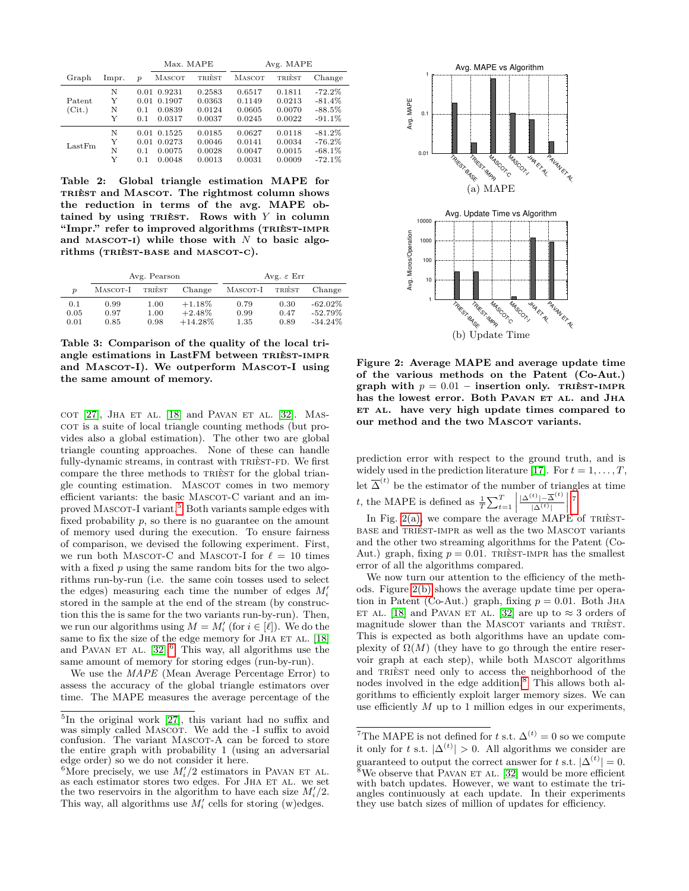|                  |                  |                            | Max. MAPE                            |                                      | Avg. MAPE                            |                                      |                                               |
|------------------|------------------|----------------------------|--------------------------------------|--------------------------------------|--------------------------------------|--------------------------------------|-----------------------------------------------|
| Graph            | lmpr.            | $\boldsymbol{p}$           | MASCOT                               | TRIÈST                               | MASCOT                               | TRIÈST                               | Change                                        |
| Patent<br>(Cit.) | N<br>Y<br>N<br>Y | 0.01<br>0.01<br>0.1<br>0.1 | 0.9231<br>0.1907<br>0.0839<br>0.0317 | 0.2583<br>0.0363<br>0.0124<br>0.0037 | 0.6517<br>0.1149<br>0.0605<br>0.0245 | 0.1811<br>0.0213<br>0.0070<br>0.0022 | $-72.2%$<br>$-81.4%$<br>$-88.5%$<br>$-91.1%$  |
| LastFm           | N<br>Y<br>N<br>Y | 0.01<br>0.01<br>0.1<br>0.1 | 0.1525<br>0.0273<br>0.0075<br>0.0048 | 0.0185<br>0.0046<br>0.0028<br>0.0013 | 0.0627<br>0.0141<br>0.0047<br>0.0031 | 0.0118<br>0.0034<br>0.0015<br>0.0009 | $-81.2%$<br>$-76.2%$<br>$-68.1\%$<br>$-72.1%$ |

<span id="page-6-6"></span>**Table 2: Global triangle estimation MAPE for** trièst **and** Mascot**. The rightmost column shows the reduction in terms of the avg. MAPE ob** $t$ ained by using TRIEST. Rows with  $Y$  in column **"Impr." refer to improved algorithms (**trièst-impr and MASCOT-I) while those with  $N$  to basic algo**rithms (**trièst-base **and** mascot-c**).**

|                  |          | Avg. Pearson |            | Avg. $\varepsilon$ Err |        |            |
|------------------|----------|--------------|------------|------------------------|--------|------------|
| $\boldsymbol{p}$ | MASCOT-I | TRIÈST       | Change     | MASCOT-I               | TRIÈST | Change     |
| 0.1              | 0.99     | 1.00         | $+1.18%$   | 0.79                   | 0.30   | $-62.02\%$ |
| 0.05             | 0.97     | 1.00         | $+2.48%$   | 0.99                   | 0.47   | $-52.79%$  |
| 0.01             | 0.85     | 0.98         | $+14.28\%$ | 1.35                   | 0.89   | $-34.24\%$ |

<span id="page-6-7"></span>**Table 3: Comparison of the quality of the local tri**angle estimations in LastFM between TRIEST-IMPR and MASCOT-I). We outperform MASCOT-I using **the same amount of memory.**

 $COT$  [\[27\]](#page-9-3), JHA ET AL. [\[18\]](#page-9-8) and PAVAN ET AL. [\[32\]](#page-9-9). MAScot is a suite of local triangle counting methods (but provides also a global estimation). The other two are global triangle counting approaches. None of these can handle fully-dynamic streams, in contrast with TRIÈST-FD. We first compare the three methods to TRIEST for the global triangle counting estimation. MASCOT comes in two memory efficient variants: the basic MASCOT-C variant and an im-proved MASCOT-I variant.<sup>[5](#page-6-0)</sup> Both variants sample edges with fixed probability *p*, so there is no guarantee on the amount of memory used during the execution. To ensure fairness of comparison, we devised the following experiment. First, we run both MASCOT-C and MASCOT-I for  $\ell = 10$  times with a fixed *p* using the same random bits for the two algorithms run-by-run (i.e. the same coin tosses used to select the edges) measuring each time the number of edges  $M_i'$ stored in the sample at the end of the stream (by construction this the is same for the two variants run-by-run). Then, we run our algorithms using  $M = M'_i$  (for  $i \in [\ell]$ ). We do the same to fix the size of the edge memory for JHA ET AL. [\[18\]](#page-9-8) and PAVAN ET AL.  $[32]$ <sup>[6](#page-6-1)</sup> This way, all algorithms use the same amount of memory for storing edges (run-by-run). **ions** (19 March 19 March 19 March 19 March 19 March 19 March 19 March 19 March 19 March 19 March 19 March 19 March 19 March 19 March 19 March 19 March 19 March 19 March 19 March 19 March 19 March 19 March 19 March 19 Marc

We use the *MAPE* (Mean Average Percentage Error) to assess the accuracy of the global triangle estimators over time. The MAPE measures the average percentage of the

<span id="page-6-3"></span>

<span id="page-6-4"></span>**Figure 2: Average MAPE and average update time of the various methods on the Patent (Co-Aut.)** graph with  $p = 0.01$  – insertion only. TRIEST-IMPR has the lowest error. Both PAVAN ET AL. and JHA ET AL. have very high update times compared to our method and the two MASCOT variants.

prediction error with respect to the ground truth, and is widely used in the prediction literature [\[17\]](#page-9-34). For  $t = 1, \ldots, T$ , let  $\overline{\Delta}^{(t)}$  be the estimator of the number of triangles at time *t*, the MAPE is defined as  $\frac{1}{T} \sum_{t=1}^{T}$  $|\Delta^{(t)}|-\overline{\Delta}^{(t)}$  $\frac{|t| - \overline{\Delta}^{(t)}|}{|\Delta^{(t)}|}$ .<br><sup>[7](#page-6-2)</sup>

In Fig.  $2(a)$ , we compare the average MAPE of TRIESTbase and trièst-impr as well as the two Mascot variants and the other two streaming algorithms for the Patent (Co-Aut.) graph, fixing  $p = 0.01$ . TRIEST-IMPR has the smallest error of all the algorithms compared.

We now turn our attention to the efficiency of the methods. Figure [2\(b\)](#page-6-4) shows the average update time per operation in Patent (Co-Aut.) graph, fixing  $p = 0.01$ . Both JHA ET AL. [\[18\]](#page-9-8) and PAVAN ET AL. [\[32\]](#page-9-9) are up to  $\approx 3$  orders of magnitude slower than the MASCOT variants and TRIÈST. This is expected as both algorithms have an update complexity of  $\Omega(M)$  (they have to go through the entire reservoir graph at each step), while both MASCOT algorithms and trièst need only to access the neighborhood of the nodes involved in the edge addition.<sup>[8](#page-6-5)</sup> This allows both algorithms to efficiently exploit larger memory sizes. We can use efficiently *M* up to 1 million edges in our experiments,

<span id="page-6-0"></span><sup>5</sup> In the original work [\[27\]](#page-9-3), this variant had no suffix and was simply called MASCOT. We add the -I suffix to avoid confusion. The variant MASCOT-A can be forced to store the entire graph with probability 1 (using an adversarial edge order) so we do not consider it here.

<span id="page-6-1"></span><sup>&</sup>lt;sup>6</sup>More precisely, we use  $M_i/2$  estimators in PAVAN ET AL. as each estimator stores two edges. For JHA ET AL. we set the two reservoirs in the algorithm to have each size  $M_i/2$ . This way, all algorithms use  $M_i'$  cells for storing (w) edges.

<span id="page-6-5"></span><span id="page-6-2"></span><sup>&</sup>lt;sup>7</sup>The MAPE is not defined for *t* s.t.  $\Delta^{(t)} = 0$  so we compute it only for *t* s.t.  $|\Delta^{(t)}| > 0$ . All algorithms we consider are guaranteed to output the correct answer for *t* s.t.  $|\Delta^{(t)}| = 0$ . We observe that PAVAN ET AL. [\[32\]](#page-9-9) would be more efficient with batch updates. However, we want to estimate the triangles continuously at each update. In their experiments they use batch sizes of million of updates for efficiency.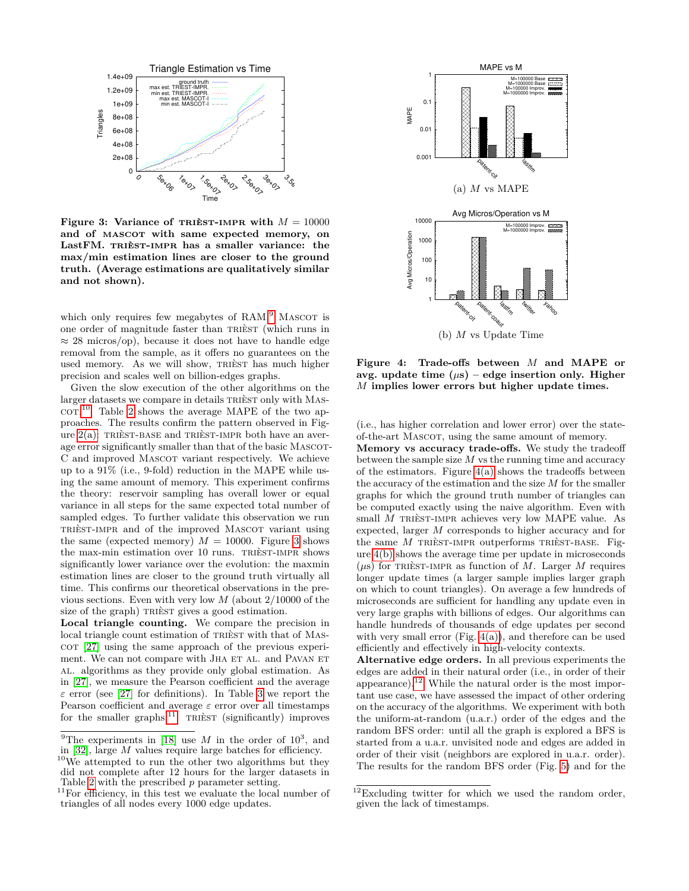

<span id="page-7-2"></span>**Figure 3: Variance of TRIEST-IMPR with**  $M = 10000$ and of MASCOT with same expected memory, on LastFM. TRIÈST-IMPR has a smaller variance: the **max/min estimation lines are closer to the ground truth. (Average estimations are qualitatively similar and not shown).**

which only requires few megabytes of RAM. $^{9}$  $^{9}$  $^{9}$  MASCOT is one order of magnitude faster than TRIÈST (which runs in  $\approx$  28 micros/op), because it does not have to handle edge removal from the sample, as it offers no guarantees on the used memory. As we will show, TRIEST has much higher precision and scales well on billion-edges graphs.

Given the slow execution of the other algorithms on the larger datasets we compare in details TRIEST only with MAS- $\rm{coT.}^{10}$  $\rm{coT.}^{10}$  $\rm{coT.}^{10}$  Table [2](#page-6-6) shows the average MAPE of the two approaches. The results confirm the pattern observed in Figure  $2(a)$ : TRIÈST-BASE and TRIÈST-IMPR both have an average error significantly smaller than that of the basic MASCOT-C and improved MASCOT variant respectively. We achieve up to a 91% (i.e., 9-fold) reduction in the MAPE while using the same amount of memory. This experiment confirms the theory: reservoir sampling has overall lower or equal variance in all steps for the same expected total number of sampled edges. To further validate this observation we run trièst-impr and of the improved Mascot variant using the same (expected memory)  $M = 10000$ . Figure [3](#page-7-2) shows the max-min estimation over 10 runs. TRIÈST-IMPR shows significantly lower variance over the evolution: the maxmin estimation lines are closer to the ground truth virtually all time. This confirms our theoretical observations in the previous sections. Even with very low *M* (about 2*/*10000 of the size of the graph) TRIÈST gives a good estimation. Example the stationary in the stationary in the stationary of all nodes every 1000 edge updates. The stationary is the stationary in the stationary in the stationary in the stationary in the stationary in the stationary i

**Local triangle counting.** We compare the precision in local triangle count estimation of TRIEST with that of MAS- $\cot$  [\[27\]](#page-9-3) using the same approach of the previous experiment. We can not compare with JHA ET AL. and PAVAN ET al. algorithms as they provide only global estimation. As in [\[27\]](#page-9-3), we measure the Pearson coefficient and the average *ε* error (see [\[27\]](#page-9-3) for definitions). In Table [3](#page-6-7) we report the Pearson coefficient and average *ε* error over all timestamps for the smaller graphs.<sup>[11](#page-7-3)</sup> TRIÈST (significantly) improves

<span id="page-7-4"></span>

<span id="page-7-5"></span>**Figure 4: Trade-offs between** *M* **and MAPE or** avg. update time  $(\mu s)$  – edge insertion only. Higher *M* **implies lower errors but higher update times.**

(i.e., has higher correlation and lower error) over the stateof-the-art Mascot, using the same amount of memory.

**Memory vs accuracy trade-offs.** We study the tradeoff between the sample size *M* vs the running time and accuracy of the estimators. Figure  $4(a)$  shows the tradeoffs between the accuracy of the estimation and the size *M* for the smaller graphs for which the ground truth number of triangles can be computed exactly using the naive algorithm. Even with small *M* TRIÈST-IMPR achieves very low MAPE value. As expected, larger *M* corresponds to higher accuracy and for the same *M* TRIÈST-IMPR outperforms TRIÈST-BASE. Figure [4\(b\)](#page-7-5) shows the average time per update in microseconds  $(\mu s)$  for TRIEST-IMPR as function of *M*. Larger *M* requires longer update times (a larger sample implies larger graph on which to count triangles). On average a few hundreds of microseconds are sufficient for handling any update even in very large graphs with billions of edges. Our algorithms can handle hundreds of thousands of edge updates per second with very small error (Fig.  $4(a)$ ), and therefore can be used efficiently and effectively in high-velocity contexts.

**Alternative edge orders.** In all previous experiments the edges are added in their natural order (i.e., in order of their appearance).<sup>[12](#page-7-6)</sup> While the natural order is the most important use case, we have assessed the impact of other ordering on the accuracy of the algorithms. We experiment with both the uniform-at-random (u.a.r.) order of the edges and the random BFS order: until all the graph is explored a BFS is started from a u.a.r. unvisited node and edges are added in order of their visit (neighbors are explored in u.a.r. order). The results for the random BFS order (Fig. [5\)](#page-8-0) and for the

<span id="page-7-0"></span><sup>&</sup>lt;sup>9</sup>The experiments in [\[18\]](#page-9-8) use *M* in the order of  $10^3$ , and in [\[32\]](#page-9-9), large *M* values require large batches for efficiency.

<span id="page-7-1"></span><sup>10</sup>We attempted to run the other two algorithms but they did not complete after 12 hours for the larger datasets in Table [2](#page-6-6) with the prescribed *p* parameter setting.

<span id="page-7-3"></span> $11$ For efficiency, in this test we evaluate the local number of triangles of all nodes every 1000 edge updates.

<span id="page-7-6"></span> $12$ Excluding twitter for which we used the random order, given the lack of timestamps.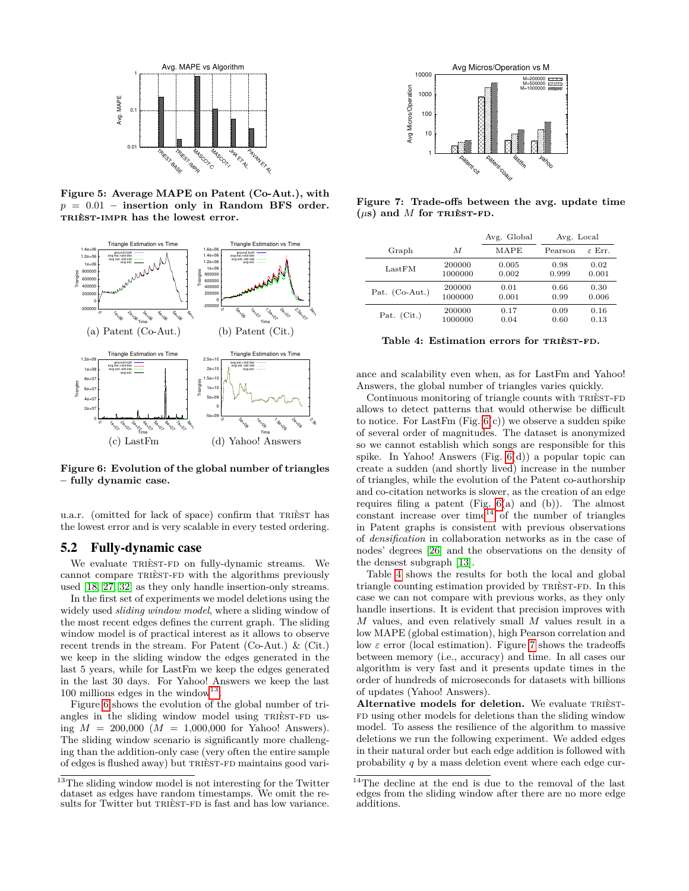

<span id="page-8-0"></span>**Figure 5: Average MAPE on Patent (Co-Aut.), with** *p* = 0*.*01 **– insertion only in Random BFS order.** trièst-impr **has the lowest error.**



<span id="page-8-2"></span>**Figure 6: Evolution of the global number of triangles – fully dynamic case.**

u.a.r. (omitted for lack of space) confirm that TRIEST has the lowest error and is very scalable in every tested ordering.

#### 5.2 Fully-dynamic case

We evaluate TRIÈST-FD on fully-dynamic streams. We cannot compare TRIEST-FD with the algorithms previously used [\[18,](#page-9-8) [27,](#page-9-3) [32\]](#page-9-9) as they only handle insertion-only streams.

In the first set of experiments we model deletions using the widely used *sliding window model*, where a sliding window of the most recent edges defines the current graph. The sliding window model is of practical interest as it allows to observe recent trends in the stream. For Patent (Co-Aut.) & (Cit.) we keep in the sliding window the edges generated in the last 5 years, while for LastFm we keep the edges generated in the last 30 days. For Yahoo! Answers we keep the last 100 millions edges in the window<sup>[13](#page-8-1)</sup>.

Figure [6](#page-8-2) shows the evolution of the global number of triangles in the sliding window model using TRIEST-FD using  $M = 200,000 (M = 1,000,000$  for Yahoo! Answers). The sliding window scenario is significantly more challenging than the addition-only case (very often the entire sample of edges is flushed away) but TRIEST-FD maintains good vari-



<span id="page-8-5"></span>**Figure 7: Trade-offs between the avg. update time**  $(\mu s)$  and *M* for TRIEST-FD.

|                  |         | Avg. Global | Avg. Local |                    |  |
|------------------|---------|-------------|------------|--------------------|--|
| Graph            | M       | MAPE        | Pearson    | $\varepsilon$ Err. |  |
| LastFM           | 200000  | 0.005       | 0.98       | 0.02               |  |
|                  | 1000000 | 0.002       | 0.999      | 0.001              |  |
| Pat. $(Co-Aut.)$ | 200000  | 0.01        | 0.66       | 0.30               |  |
|                  | 1000000 | 0.001       | 0.99       | 0.006              |  |
| Pat. $(Cit.)$    | 200000  | 0.17        | 0.09       | 0.16               |  |
|                  | 1000000 | 0.04        | 0.60       | 0.13               |  |

<span id="page-8-4"></span>Table 4: Estimation errors for TRIÈST-FD.

ance and scalability even when, as for LastFm and Yahoo! Answers, the global number of triangles varies quickly.

Continuous monitoring of triangle counts with TRIEST-FD allows to detect patterns that would otherwise be difficult to notice. For LastFm (Fig.  $6(c)$ ) we observe a sudden spike of several order of magnitudes. The dataset is anonymized so we cannot establish which songs are responsible for this spike. In Yahoo! Answers (Fig. [6\(](#page-8-2)d)) a popular topic can create a sudden (and shortly lived) increase in the number of triangles, while the evolution of the Patent co-authorship and co-citation networks is slower, as the creation of an edge requires filing a patent (Fig. [6\(](#page-8-2)a) and (b)). The almost constant increase over time<sup>[14](#page-8-3)</sup> of the number of triangles in Patent graphs is consistent with previous observations of *densification* in collaboration networks as in the case of nodes' degrees [\[26\]](#page-9-35) and the observations on the density of the densest subgraph [\[13\]](#page-9-36).

Table [4](#page-8-4) shows the results for both the local and global triangle counting estimation provided by TRIÈST-FD. In this case we can not compare with previous works, as they only handle insertions. It is evident that precision improves with *M* values, and even relatively small *M* values result in a low MAPE (global estimation), high Pearson correlation and low *ε* error (local estimation). Figure [7](#page-8-5) shows the tradeoffs between memory (i.e., accuracy) and time. In all cases our algorithm is very fast and it presents update times in the order of hundreds of microseconds for datasets with billions of updates (Yahoo! Answers).

Alternative models for deletion. We evaluate TRIÈST-FD using other models for deletions than the sliding window model. To assess the resilience of the algorithm to massive deletions we run the following experiment. We added edges in their natural order but each edge addition is followed with probability *q* by a mass deletion event where each edge cur-

<span id="page-8-1"></span><sup>&</sup>lt;sup>13</sup>The sliding window model is not interesting for the Twitter dataset as edges have random timestamps. We omit the re-

<span id="page-8-3"></span><sup>&</sup>lt;sup>14</sup>The decline at the end is due to the removal of the last edges from the sliding window after there are no more edge additions.